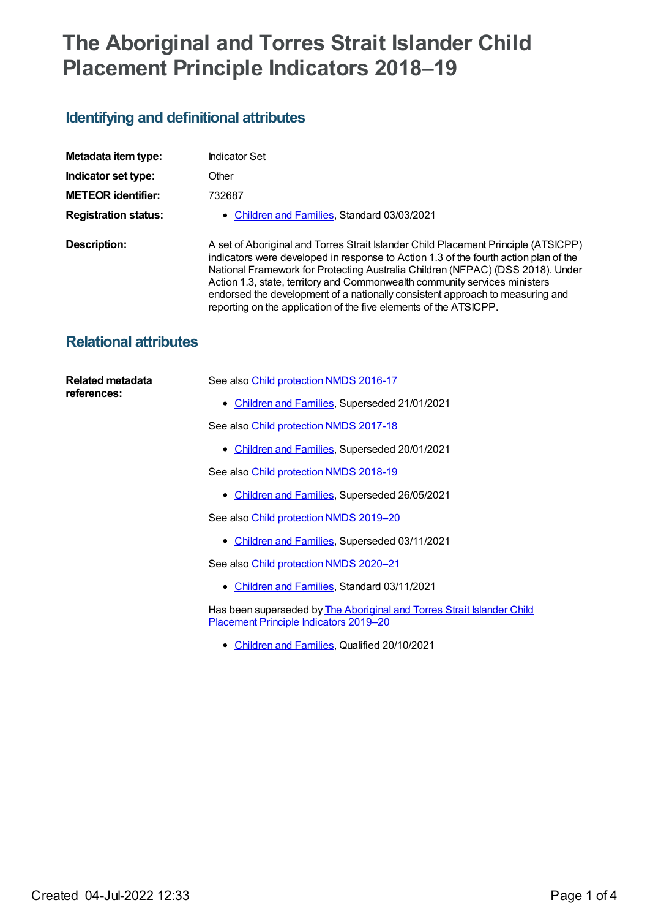# **The Aboriginal and Torres Strait Islander Child Placement Principle Indicators 2018–19**

## **Identifying and definitional attributes**

| Metadata item type:         | Indicator Set                                                                                                                                                                                                                                                                                                                                                                                                                                                                                    |  |  |
|-----------------------------|--------------------------------------------------------------------------------------------------------------------------------------------------------------------------------------------------------------------------------------------------------------------------------------------------------------------------------------------------------------------------------------------------------------------------------------------------------------------------------------------------|--|--|
| Indicator set type:         | Other                                                                                                                                                                                                                                                                                                                                                                                                                                                                                            |  |  |
| <b>METEOR identifier:</b>   | 732687                                                                                                                                                                                                                                                                                                                                                                                                                                                                                           |  |  |
| <b>Registration status:</b> | • Children and Families, Standard 03/03/2021                                                                                                                                                                                                                                                                                                                                                                                                                                                     |  |  |
| Description:                | A set of Aboriginal and Torres Strait Islander Child Placement Principle (ATSICPP)<br>indicators were developed in response to Action 1.3 of the fourth action plan of the<br>National Framework for Protecting Australia Children (NFPAC) (DSS 2018). Under<br>Action 1.3, state, territory and Commonwealth community services ministers<br>endorsed the development of a nationally consistent approach to measuring and<br>reporting on the application of the five elements of the ATSICPP. |  |  |

### **Relational attributes**

| Related metadata<br>references: | See also Child protection NMDS 2016-17                                                                           |
|---------------------------------|------------------------------------------------------------------------------------------------------------------|
|                                 | • Children and Families, Superseded 21/01/2021                                                                   |
|                                 | See also Child protection NMDS 2017-18                                                                           |
|                                 | • Children and Families, Superseded 20/01/2021                                                                   |
|                                 | See also Child protection NMDS 2018-19                                                                           |
|                                 | • Children and Families, Superseded 26/05/2021                                                                   |
|                                 | See also Child protection NMDS 2019-20                                                                           |
|                                 | • Children and Families, Superseded 03/11/2021                                                                   |
|                                 | See also Child protection NMDS 2020-21                                                                           |
|                                 | • Children and Families, Standard 03/11/2021                                                                     |
|                                 | Has been superseded by The Aboriginal and Torres Strait Islander Child<br>Placement Principle Indicators 2019-20 |
|                                 | • Children and Families, Qualified 20/10/2021                                                                    |
|                                 |                                                                                                                  |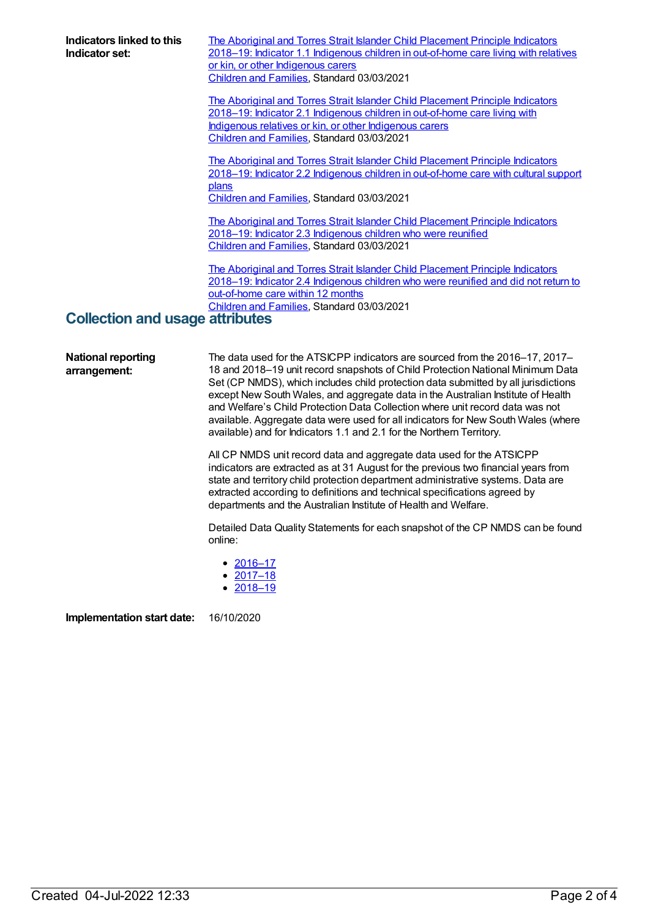**Indicators linked to this Indicator set:** The Aboriginal and Torres Strait Islander Child Placement Principle Indicators 2018–19: Indicator 1.1 Indigenous children in [out-of-home](https://meteor.aihw.gov.au/content/732691) care living with relatives or kin, or other Indigenous carers [Children](https://meteor.aihw.gov.au/RegistrationAuthority/17) and Families, Standard 03/03/2021 The Aboriginal and Torres Strait Islander Child Placement Principle Indicators 2018–19: Indicator 2.1 Indigenous children in [out-of-home](https://meteor.aihw.gov.au/content/732697) care living with Indigenous relatives or kin, or other Indigenous carers [Children](https://meteor.aihw.gov.au/RegistrationAuthority/17) and Families, Standard 03/03/2021 The Aboriginal and Torres Strait Islander Child Placement Principle Indicators 2018–19: Indicator 2.2 Indigenous children in [out-of-home](https://meteor.aihw.gov.au/content/732707) care with cultural support plans [Children](https://meteor.aihw.gov.au/RegistrationAuthority/17) and Families, Standard 03/03/2021 The Aboriginal and Torres Strait Islander Child [Placement](https://meteor.aihw.gov.au/content/732713) Principle Indicators 2018–19: Indicator 2.3 Indigenous children who were reunified [Children](https://meteor.aihw.gov.au/RegistrationAuthority/17) and Families, Standard 03/03/2021 The Aboriginal and Torres Strait Islander Child Placement Principle Indicators 2018–19: Indicator 2.4 [Indigenous](https://meteor.aihw.gov.au/content/732715) children who were reunified and did not return to out-of-home care within 12 months [Children](https://meteor.aihw.gov.au/RegistrationAuthority/17) and Families, Standard 03/03/2021 **Collection and usage attributes National reporting arrangement:** The data used for the ATSICPP indicators are sourced from the 2016–17, 2017– 18 and 2018–19 unit record snapshots of Child Protection National Minimum Data Set (CP NMDS), which includes child protection data submitted by all jurisdictions except New South Wales, and aggregate data in the Australian Institute of Health and Welfare's Child Protection Data Collection where unit record data was not available. Aggregate data were used for all indicators for New South Wales (where

> All CP NMDS unit record data and aggregate data used for the ATSICPP indicators are extracted as at 31 August for the previous two financial years from state and territory child protection department administrative systems. Data are extracted according to definitions and technical specifications agreed by departments and the Australian Institute of Health and Welfare.

available) and for Indicators 1.1 and 2.1 for the Northern Territory.

Detailed Data Quality Statements for each snapshot of the CP NMDS can be found online:

- [2016–17](file:///content/691095)
- [2017–18](file:///content/711622)
- [2018–19](file:///content/727110)

**Implementation start date:** 16/10/2020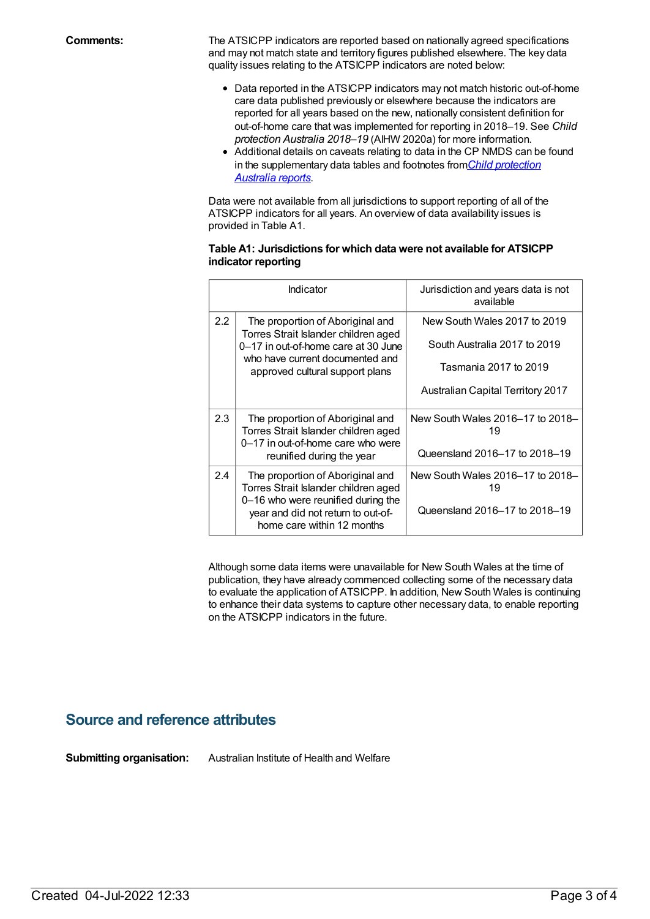**Comments:** The ATSICPP indicators are reported based on nationally agreed specifications and may not match state and territory figures published elsewhere. The key data quality issues relating to the ATSICPP indicators are noted below:

- Data reported in the ATSICPP indicators may not match historic out-of-home care data published previously or elsewhere because the indicators are reported for all years based on the new, nationally consistent definition for out-of-home care that was implemented for reporting in 2018–19. See *Child protection Australia 2018–19* (AIHW 2020a) for more information.
- Additional details on caveats relating to data in the CP NMDS can be found in the [supplementary](https://www.aihw.gov.au/reports-data/health-welfare-services/child-protection/overview) data tables and footnotes from*Child protection Australia reports*.

Data were not available from all jurisdictions to support reporting of all of the ATSICPP indicators for all years. An overview of data availability issues is provided in Table A1.

#### **Table A1: Jurisdictions for which data were not available for ATSICPP indicator reporting**

| Indicator        |                                                                                                        | Jurisdiction and years data is not<br>available |
|------------------|--------------------------------------------------------------------------------------------------------|-------------------------------------------------|
| $2.2\phantom{0}$ | The proportion of Aboriginal and<br>Torres Strait Islander children aged                               | New South Wales 2017 to 2019                    |
|                  | 0-17 in out-of-home care at 30 June                                                                    | South Australia 2017 to 2019                    |
|                  | who have current documented and<br>approved cultural support plans                                     | Tasmania 2017 to 2019                           |
|                  |                                                                                                        | <b>Australian Capital Territory 2017</b>        |
| 2.3              | The proportion of Aboriginal and<br>Torres Strait Islander children aged                               | New South Wales 2016-17 to 2018-<br>19          |
|                  | 0-17 in out-of-home care who were<br>reunified during the year                                         | Queensland 2016-17 to 2018-19                   |
| 2.4              | The proportion of Aboriginal and<br>Torres Strait Islander children aged                               | New South Wales 2016-17 to 2018-<br>19          |
|                  | 0-16 who were reunified during the<br>year and did not return to out-of-<br>home care within 12 months | Queensland 2016-17 to 2018-19                   |

Although some data items were unavailable for New South Wales at the time of publication, they have already commenced collecting some of the necessary data to evaluate the application of ATSICPP. In addition, New South Wales is continuing to enhance their data systems to capture other necessary data, to enable reporting on the ATSICPP indicators in the future.

#### **Source and reference attributes**

**Submitting organisation:** Australian Institute of Health and Welfare